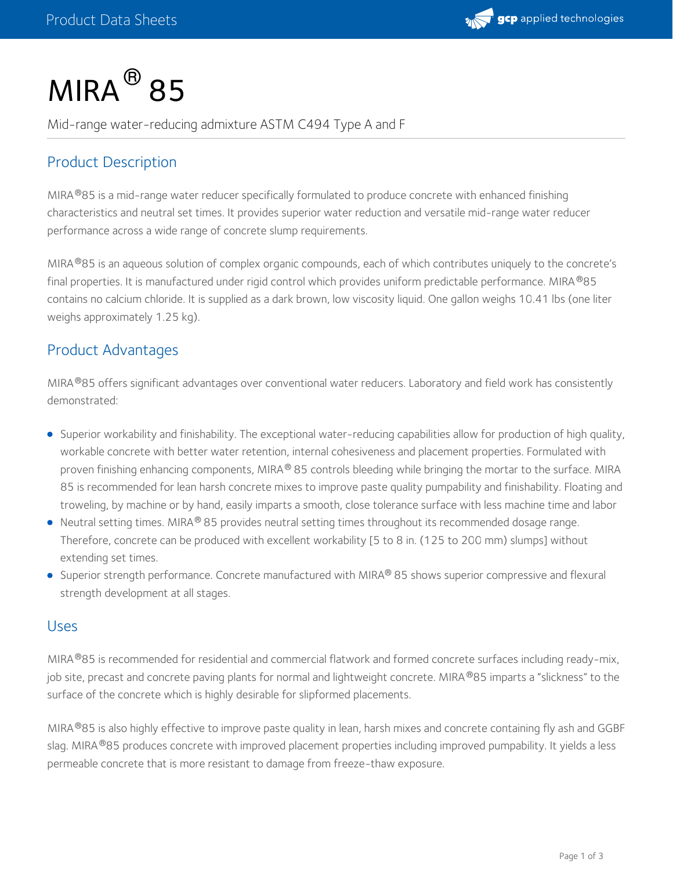

# $MIRA<sup>®</sup> 85$

Mid-range water-reducing admixture ASTM C494 Type A and F

## Product Description

MIRA®85 is a mid-range water reducer specifically formulated to produce concrete with enhanced finishing characteristics and neutral set times. It provides superior water reduction and versatile mid-range water reducer performance across a wide range of concrete slump requirements.

MIRA®85 is an aqueous solution of complex organic compounds, each of which contributes uniquely to the concrete's final properties. It is manufactured under rigid control which provides uniform predictable performance. MIRA®85 contains no calcium chloride. It is supplied as a dark brown, low viscosity liquid. One gallon weighs 10.41 lbs (one liter weighs approximately 1.25 kg).

## Product Advantages

MIRA®85 offers significant advantages over conventional water reducers. Laboratory and field work has consistently demonstrated:

- Superior workability and finishability. The exceptional water-reducing capabilities allow for production of high quality, workable concrete with better water retention, internal cohesiveness and placement properties. Formulated with proven finishing enhancing components, MIRA® 85 controls bleeding while bringing the mortar to the surface. MIRA 85 is recommended for lean harsh concrete mixes to improve paste quality pumpability and finishability. Floating and troweling, by machine or by hand, easily imparts a smooth, close tolerance surface with less machine time and labor
- Neutral setting times. MIRA $^{\circledR}$  85 provides neutral setting times throughout its recommended dosage range. Therefore, concrete can be produced with excellent workability [5 to 8 in. (125 to 200 mm) slumps] without extending set times.
- Superior strength performance. Concrete manufactured with MIRA® 85 shows superior compressive and flexural strength development at all stages.

#### Uses

MIRA®85 is recommended for residential and commercial flatwork and formed concrete surfaces including ready-mix, job site, precast and concrete paving plants for normal and lightweight concrete. MIRA®85 imparts a "slickness" to the surface of the concrete which is highly desirable for slipformed placements.

MIRA®85 is also highly effective to improve paste quality in lean, harsh mixes and concrete containing fly ash and GGBF slag. MIRA®85 produces concrete with improved placement properties including improved pumpability. It yields a less permeable concrete that is more resistant to damage from freeze-thaw exposure.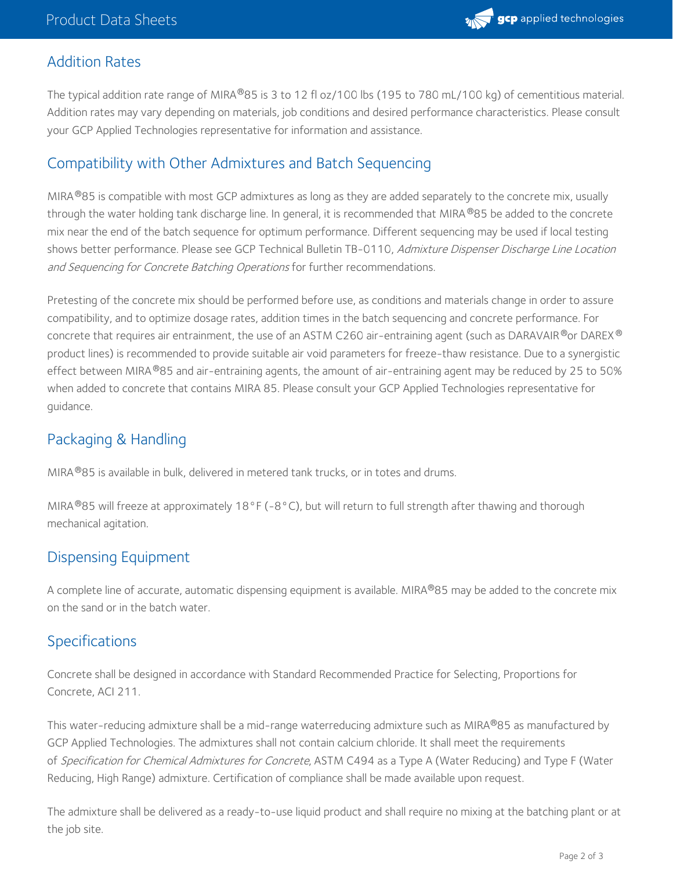

#### Addition Rates

The typical addition rate range of MIRA®85 is 3 to 12 fl oz/100 lbs (195 to 780 mL/100 kg) of cementitious material. Addition rates may vary depending on materials, job conditions and desired performance characteristics. Please consult your GCP Applied Technologies representative for information and assistance.

### Compatibility with Other Admixtures and Batch Sequencing

MIRA $@85$  is compatible with most GCP admixtures as long as they are added separately to the concrete mix, usually through the water holding tank discharge line. In general, it is recommended that MIRA®85 be added to the concrete mix near the end of the batch sequence for optimum performance. Different sequencing may be used if local testing shows better performance. Please see GCP Technical Bulletin TB-0110, Admixture Dispenser Discharge Line Location and Sequencing for Concrete Batching Operations for further recommendations.

Pretesting of the concrete mix should be performed before use, as conditions and materials change in order to assure compatibility, and to optimize dosage rates, addition times in the batch sequencing and concrete performance. For concrete that requires air entrainment, the use of an ASTM C260 air-entraining agent (such as DARAVAIR $^\circ$ or DAREX $^\circ$ product lines) is recommended to provide suitable air void parameters for freeze-thaw resistance. Due to a synergistic effect between MIRA®85 and air-entraining agents, the amount of air-entraining agent may be reduced by 25 to 50% when added to concrete that contains MIRA 85. Please consult your GCP Applied Technologies representative for guidance.

# Packaging & Handling

MIRA $^{\circledR}$ 85 is available in bulk, delivered in metered tank trucks, or in totes and drums.

MIRA $^{\circledR}$ 85 will freeze at approximately 18°F (-8°C), but will return to full strength after thawing and thorough mechanical agitation.

#### Dispensing Equipment

A complete line of accurate, automatic dispensing equipment is available. MIRA®85 may be added to the concrete mix on the sand or in the batch water.

#### Specifications

Concrete shall be designed in accordance with Standard Recommended Practice for Selecting, Proportions for Concrete, ACI 211.

This water-reducing admixture shall be a mid-range waterreducing admixture such as MIRA®85 as manufactured by GCP Applied Technologies. The admixtures shall not contain calcium chloride. It shall meet the requirements of Specification for Chemical Admixtures for Concrete, ASTM C494 as a Type A (Water Reducing) and Type F (Water Reducing, High Range) admixture. Certification of compliance shall be made available upon request.

The admixture shall be delivered as a ready-to-use liquid product and shall require no mixing at the batching plant or at the job site.